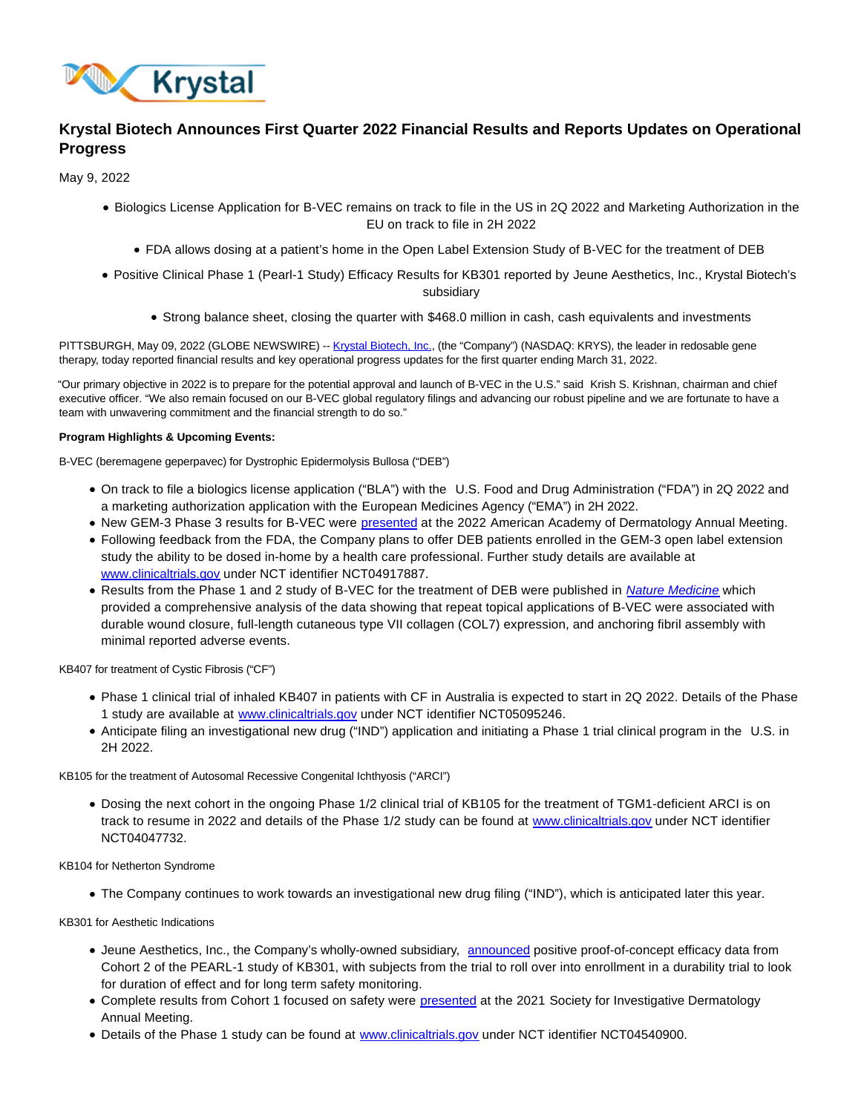

# **Krystal Biotech Announces First Quarter 2022 Financial Results and Reports Updates on Operational Progress**

May 9, 2022

- Biologics License Application for B-VEC remains on track to file in the US in 2Q 2022 and Marketing Authorization in the EU on track to file in 2H 2022
	- FDA allows dosing at a patient's home in the Open Label Extension Study of B-VEC for the treatment of DEB
- Positive Clinical Phase 1 (Pearl-1 Study) Efficacy Results for KB301 reported by Jeune Aesthetics, Inc., Krystal Biotech's subsidiary
	- Strong balance sheet, closing the quarter with \$468.0 million in cash, cash equivalents and investments

PITTSBURGH, May 09, 2022 (GLOBE NEWSWIRE) -- [Krystal Biotech, Inc.,](https://www.globenewswire.com/Tracker?data=y2qIJ88nqfqcvpO-w4qJ397ywj7WRupW2lLOkvmUmeaouO4AOqdijzZ_3aBNM6t7RxsnpJFN6i3KO1e0MSHc_a_vaLLlSMTXM4cq5kL3-ok=) (the "Company") (NASDAQ: KRYS), the leader in redosable gene therapy, today reported financial results and key operational progress updates for the first quarter ending March 31, 2022.

"Our primary objective in 2022 is to prepare for the potential approval and launch of B-VEC in the U.S." said Krish S. Krishnan, chairman and chief executive officer. "We also remain focused on our B-VEC global regulatory filings and advancing our robust pipeline and we are fortunate to have a team with unwavering commitment and the financial strength to do so."

# **Program Highlights & Upcoming Events:**

B-VEC (beremagene geperpavec) for Dystrophic Epidermolysis Bullosa ("DEB")

- On track to file a biologics license application ("BLA") with the U.S. Food and Drug Administration ("FDA") in 2Q 2022 and a marketing authorization application with the European Medicines Agency ("EMA") in 2H 2022.
- New GEM-3 Phase 3 results for B-VEC were [presented a](https://ir.krystalbio.com/static-files/bb74b04e-7e3d-44f8-afda-5469a3cf16b4)t the 2022 American Academy of Dermatology Annual Meeting.
- Following feedback from the FDA, the Company plans to offer DEB patients enrolled in the GEM-3 open label extension study the ability to be dosed in-home by a health care professional. Further study details are available at [www.clinicaltrials.gov u](https://www.clinicaltrials.gov/ct2/show/NCT04917887?cond=NCT04917887&draw=2&rank=1)nder NCT identifier NCT04917887.
- Results from the Phase 1 and 2 study of B-VEC for the treatment of DEB were published in [Nature Medicine](https://www.nature.com/articles/s41591-022-01737-y) which provided a comprehensive analysis of the data showing that repeat topical applications of B-VEC were associated with durable wound closure, full-length cutaneous type VII collagen (COL7) expression, and anchoring fibril assembly with minimal reported adverse events.

KB407 for treatment of Cystic Fibrosis ("CF")

- Phase 1 clinical trial of inhaled KB407 in patients with CF in Australia is expected to start in 2Q 2022. Details of the Phase 1 study are available at [www.clinicaltrials.gov u](https://www.clinicaltrials.gov/ct2/show/NCT05095246?term=NCT05095246&draw=2&rank=1)nder NCT identifier NCT05095246.
- Anticipate filing an investigational new drug ("IND") application and initiating a Phase 1 trial clinical program in the U.S. in 2H 2022.

KB105 for the treatment of Autosomal Recessive Congenital Ichthyosis ("ARCI")

Dosing the next cohort in the ongoing Phase 1/2 clinical trial of KB105 for the treatment of TGM1-deficient ARCI is on track to resume in 2022 and details of the Phase 1/2 study can be found at [www.clinicaltrials.gov](https://www.clinicaltrials.gov/ct2/show/NCT04047732?term=NCT04047732&draw=2&rank=1) under NCT identifier NCT04047732.

KB104 for Netherton Syndrome

The Company continues to work towards an investigational new drug filing ("IND"), which is anticipated later this year.

KB301 for Aesthetic Indications

- Jeune Aesthetics, Inc., the Company's wholly-owned subsidiary, [announced p](https://ir.krystalbio.com/news-releases/news-release-details/jeune-aesthetics-announces-positive-clinical-phase-1-pearl-1)ositive proof-of-concept efficacy data from Cohort 2 of the PEARL-1 study of KB301, with subjects from the trial to roll over into enrollment in a durability trial to look for duration of effect and for long term safety monitoring.
- Complete results from Cohort 1 focused on safety were [presented a](https://ir.krystalbio.com/index.php/static-files/34c99c1b-1ebc-466a-b1ee-daa6cda3d2d3)t the 2021 Society for Investigative Dermatology Annual Meeting.
- . Details of the Phase 1 study can be found at [www.clinicaltrials.gov u](https://www.clinicaltrials.gov/ct2/show/NCT04540900?term=NCT04540900&draw=2&rank=1)nder NCT identifier NCT04540900.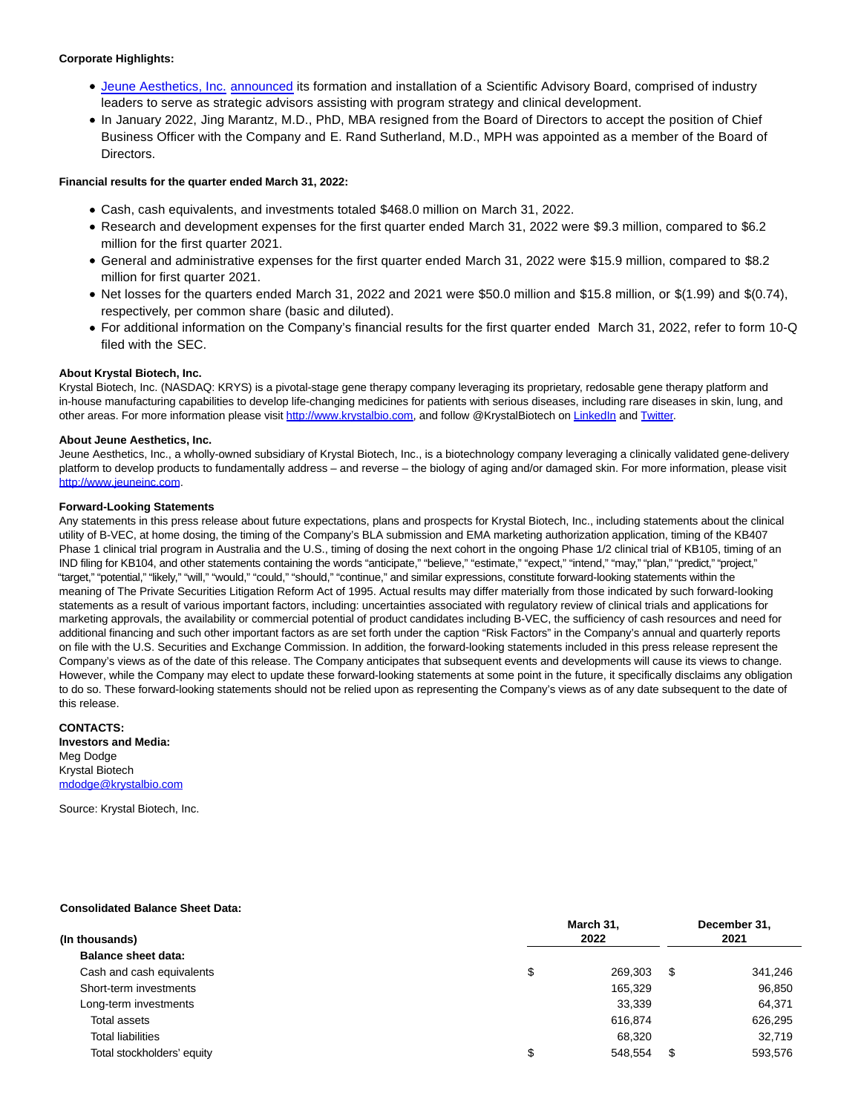# **Corporate Highlights:**

- [Jeune Aesthetics, Inc.](https://jeuneinc.com/) [announced i](https://ir.krystalbio.com/news-releases/news-release-details/jeune-aesthetics-announces-formation-and-members-scientific)ts formation and installation of a Scientific Advisory Board, comprised of industry leaders to serve as strategic advisors assisting with program strategy and clinical development.
- In January 2022, Jing Marantz, M.D., PhD, MBA resigned from the Board of Directors to accept the position of Chief Business Officer with the Company and E. Rand Sutherland, M.D., MPH was appointed as a member of the Board of Directors.

# **Financial results for the quarter ended March 31, 2022:**

- Cash, cash equivalents, and investments totaled \$468.0 million on March 31, 2022.
- Research and development expenses for the first quarter ended March 31, 2022 were \$9.3 million, compared to \$6.2 million for the first quarter 2021.
- General and administrative expenses for the first quarter ended March 31, 2022 were \$15.9 million, compared to \$8.2 million for first quarter 2021.
- Net losses for the quarters ended March 31, 2022 and 2021 were \$50.0 million and \$15.8 million, or \$(1.99) and \$(0.74), respectively, per common share (basic and diluted).
- For additional information on the Company's financial results for the first quarter ended March 31, 2022, refer to form 10-Q filed with the SEC.

# **About Krystal Biotech, Inc.**

Krystal Biotech, Inc. (NASDAQ: KRYS) is a pivotal-stage gene therapy company leveraging its proprietary, redosable gene therapy platform and in-house manufacturing capabilities to develop life-changing medicines for patients with serious diseases, including rare diseases in skin, lung, and other areas. For more information please visit [http://www.krystalbio.com,](https://www.globenewswire.com/Tracker?data=j5-mHo41aDNuNXJfE_x1lp1RfYi8XYZerTbhwGEClpaQK7_W-BeJb7O_Do0TOA1qcXL75blM0RIPffMIx1hsKUIWizbkgQSctdy_fcSEBXs=) and follow @KrystalBiotech o[n LinkedIn a](https://www.globenewswire.com/Tracker?data=x2lnpQmPXh_zzXaUwdwPLVJcDzajl8JseYvz8e1txYTwo4NU_cLk1xNQPJjGGShD-I2IFeZRWSrrsPf8NijEUd-fUMBdw3CRocWt0aFMFTcYRs1S-0CASKGej1Kvl4Gv)nd [Twitter.](https://www.globenewswire.com/Tracker?data=35DsqlYPZIFZ47-2ZiqQ1vKuY4Tp234W3PKVFZxDbY5SQOrXAxfGA3t0TMpZYf4uysapeFilFOKC-n9f24DJgA==)

#### **About Jeune Aesthetics, Inc.**

Jeune Aesthetics, Inc., a wholly-owned subsidiary of Krystal Biotech, Inc., is a biotechnology company leveraging a clinically validated gene-delivery platform to develop products to fundamentally address – and reverse – the biology of aging and/or damaged skin. For more information, please visit [http://www.jeuneinc.com.](https://www.globenewswire.com/Tracker?data=j5-mHo41aDNuNXJfE_x1lkzxE8bohKTDQzJNS2g7QxfYZwQXhkmZrnmDwGcmwFrJp7luPWskexTGADk_AUYO9_pooHrwvsbtGi2dWpyn6KU=)

#### **Forward-Looking Statements**

Any statements in this press release about future expectations, plans and prospects for Krystal Biotech, Inc., including statements about the clinical utility of B-VEC, at home dosing, the timing of the Company's BLA submission and EMA marketing authorization application, timing of the KB407 Phase 1 clinical trial program in Australia and the U.S., timing of dosing the next cohort in the ongoing Phase 1/2 clinical trial of KB105, timing of an IND filing for KB104, and other statements containing the words "anticipate," "believe," "estimate," "expect," "intend," "may," "plan," "predict," "project," "target," "potential," "likely," "will," "would," "could," "should," "continue," and similar expressions, constitute forward-looking statements within the meaning of The Private Securities Litigation Reform Act of 1995. Actual results may differ materially from those indicated by such forward-looking statements as a result of various important factors, including: uncertainties associated with regulatory review of clinical trials and applications for marketing approvals, the availability or commercial potential of product candidates including B-VEC, the sufficiency of cash resources and need for additional financing and such other important factors as are set forth under the caption "Risk Factors" in the Company's annual and quarterly reports on file with the U.S. Securities and Exchange Commission. In addition, the forward-looking statements included in this press release represent the Company's views as of the date of this release. The Company anticipates that subsequent events and developments will cause its views to change. However, while the Company may elect to update these forward-looking statements at some point in the future, it specifically disclaims any obligation to do so. These forward-looking statements should not be relied upon as representing the Company's views as of any date subsequent to the date of this release.

#### **CONTACTS: Investors and Media:** Meg Dodge Krystal Biotech [mdodge@krystalbio.com](https://www.globenewswire.com/Tracker?data=AQRSLLySfQDomaC5jldcHEzazt0S1gpcatoRq_RHlbMOWR7Dux1eI1mXEDTWK3htYzW0empPsBMP7kNgYJe-roNd4LOOj4vCn2mF8sxs6cY=)

Source: Krystal Biotech, Inc.

#### **Consolidated Balance Sheet Data:**

| (In thousands)             | March 31,<br>2022 |         |      | December 31,<br>2021 |  |  |
|----------------------------|-------------------|---------|------|----------------------|--|--|
| <b>Balance sheet data:</b> |                   |         |      |                      |  |  |
| Cash and cash equivalents  | \$                | 269.303 | - \$ | 341,246              |  |  |
| Short-term investments     |                   | 165,329 |      | 96,850               |  |  |
| Long-term investments      |                   | 33,339  |      | 64,371               |  |  |
| Total assets               |                   | 616.874 |      | 626,295              |  |  |
| <b>Total liabilities</b>   |                   | 68,320  |      | 32.719               |  |  |
| Total stockholders' equity | \$                | 548.554 | S.   | 593,576              |  |  |